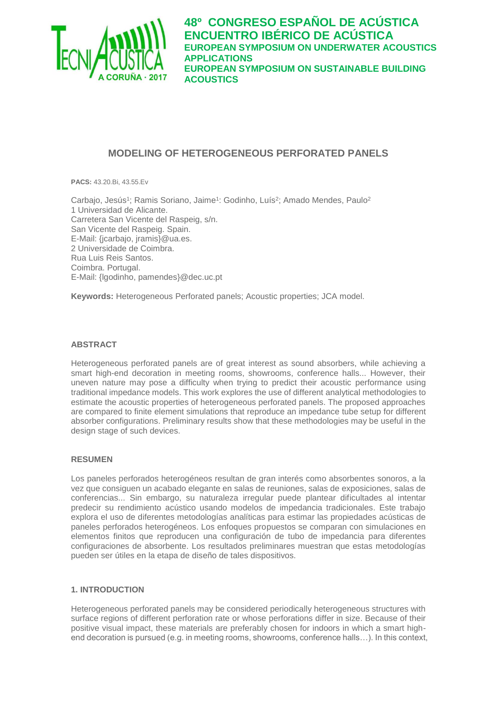

# **MODELING OF HETEROGENEOUS PERFORATED PANELS**

**PACS:** 43.20.Bi, 43.55.Ev

Carbajo, Jesús<sup>1</sup>; Ramis Soriano, Jaime<sup>1</sup>: Godinho, Luís<sup>2</sup>; Amado Mendes, Paulo<sup>2</sup> 1 Universidad de Alicante. Carretera San Vicente del Raspeig, s/n. San Vicente del Raspeig. Spain. E-Mail: {jcarbajo, [jramis}@ua.es.](mailto:jramis%7d@ua.es) 2 Universidade de Coimbra. Rua Luis Reis Santos. Coimbra. Portugal. E-Mail: {lgodinho, pamendes}@dec.uc.pt

**Keywords:** Heterogeneous Perforated panels; Acoustic properties; JCA model.

### **ABSTRACT**

Heterogeneous perforated panels are of great interest as sound absorbers, while achieving a smart high-end decoration in meeting rooms, showrooms, conference halls... However, their uneven nature may pose a difficulty when trying to predict their acoustic performance using traditional impedance models. This work explores the use of different analytical methodologies to estimate the acoustic properties of heterogeneous perforated panels. The proposed approaches are compared to finite element simulations that reproduce an impedance tube setup for different absorber configurations. Preliminary results show that these methodologies may be useful in the design stage of such devices.

### **RESUMEN**

Los paneles perforados heterogéneos resultan de gran interés como absorbentes sonoros, a la vez que consiguen un acabado elegante en salas de reuniones, salas de exposiciones, salas de conferencias... Sin embargo, su naturaleza irregular puede plantear dificultades al intentar predecir su rendimiento acústico usando modelos de impedancia tradicionales. Este trabajo explora el uso de diferentes metodologías analíticas para estimar las propiedades acústicas de paneles perforados heterogéneos. Los enfoques propuestos se comparan con simulaciones en elementos finitos que reproducen una configuración de tubo de impedancia para diferentes configuraciones de absorbente. Los resultados preliminares muestran que estas metodologías pueden ser útiles en la etapa de diseño de tales dispositivos.

### **1. INTRODUCTION**

Heterogeneous perforated panels may be considered periodically heterogeneous structures with surface regions of different perforation rate or whose perforations differ in size. Because of their positive visual impact, these materials are preferably chosen for indoors in which a smart highend decoration is pursued (e.g. in meeting rooms, showrooms, conference halls…). In this context,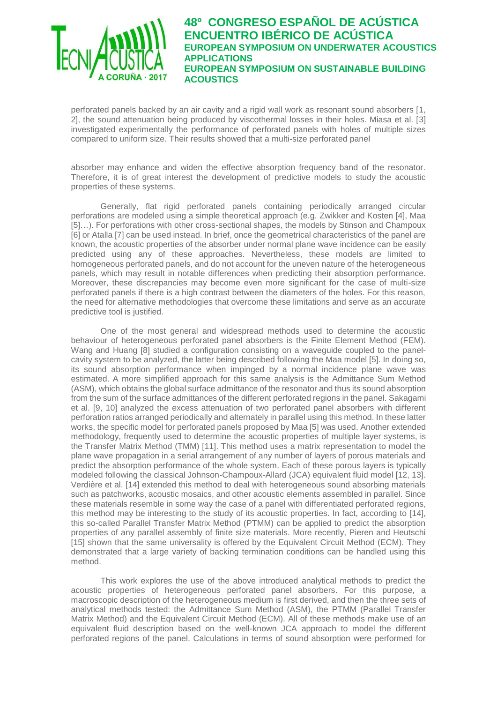

perforated panels backed by an air cavity and a rigid wall work as resonant sound absorbers [1, 2], the sound attenuation being produced by viscothermal losses in their holes. Miasa et al. [3] investigated experimentally the performance of perforated panels with holes of multiple sizes compared to uniform size. Their results showed that a multi-size perforated panel

absorber may enhance and widen the effective absorption frequency band of the resonator. Therefore, it is of great interest the development of predictive models to study the acoustic properties of these systems.

Generally, flat rigid perforated panels containing periodically arranged circular perforations are modeled using a simple theoretical approach (e.g. Zwikker and Kosten [4], Maa [5]…). For perforations with other cross-sectional shapes, the models by Stinson and Champoux [6] or Atalla [7] can be used instead. In brief, once the geometrical characteristics of the panel are known, the acoustic properties of the absorber under normal plane wave incidence can be easily predicted using any of these approaches. Nevertheless, these models are limited to homogeneous perforated panels, and do not account for the uneven nature of the heterogeneous panels, which may result in notable differences when predicting their absorption performance. Moreover, these discrepancies may become even more significant for the case of multi-size perforated panels if there is a high contrast between the diameters of the holes. For this reason, the need for alternative methodologies that overcome these limitations and serve as an accurate predictive tool is justified.

One of the most general and widespread methods used to determine the acoustic behaviour of heterogeneous perforated panel absorbers is the Finite Element Method (FEM). Wang and Huang [8] studied a configuration consisting on a waveguide coupled to the panelcavity system to be analyzed, the latter being described following the Maa model [5]. In doing so, its sound absorption performance when impinged by a normal incidence plane wave was estimated. A more simplified approach for this same analysis is the Admittance Sum Method (ASM), which obtains the global surface admittance of the resonator and thus its sound absorption from the sum of the surface admittances of the different perforated regions in the panel. Sakagami et al. [9, 10] analyzed the excess attenuation of two perforated panel absorbers with different perforation ratios arranged periodically and alternately in parallel using this method. In these latter works, the specific model for perforated panels proposed by Maa [5] was used. Another extended methodology, frequently used to determine the acoustic properties of multiple layer systems, is the Transfer Matrix Method (TMM) [11]. This method uses a matrix representation to model the plane wave propagation in a serial arrangement of any number of layers of porous materials and predict the absorption performance of the whole system. Each of these porous layers is typically modeled following the classical Johnson-Champoux-Allard (JCA) equivalent fluid model [12, 13]. Verdière et al. [14] extended this method to deal with heterogeneous sound absorbing materials such as patchworks, acoustic mosaics, and other acoustic elements assembled in parallel. Since these materials resemble in some way the case of a panel with differentiated perforated regions, this method may be interesting to the study of its acoustic properties. In fact, according to [14], this so-called Parallel Transfer Matrix Method (PTMM) can be applied to predict the absorption properties of any parallel assembly of finite size materials. More recently, Pieren and Heutschi [15] shown that the same universality is offered by the Equivalent Circuit Method (ECM). They demonstrated that a large variety of backing termination conditions can be handled using this method.

This work explores the use of the above introduced analytical methods to predict the acoustic properties of heterogeneous perforated panel absorbers. For this purpose, a macroscopic description of the heterogeneous medium is first derived, and then the three sets of analytical methods tested: the Admittance Sum Method (ASM), the PTMM (Parallel Transfer Matrix Method) and the Equivalent Circuit Method (ECM). All of these methods make use of an equivalent fluid description based on the well-known JCA approach to model the different perforated regions of the panel. Calculations in terms of sound absorption were performed for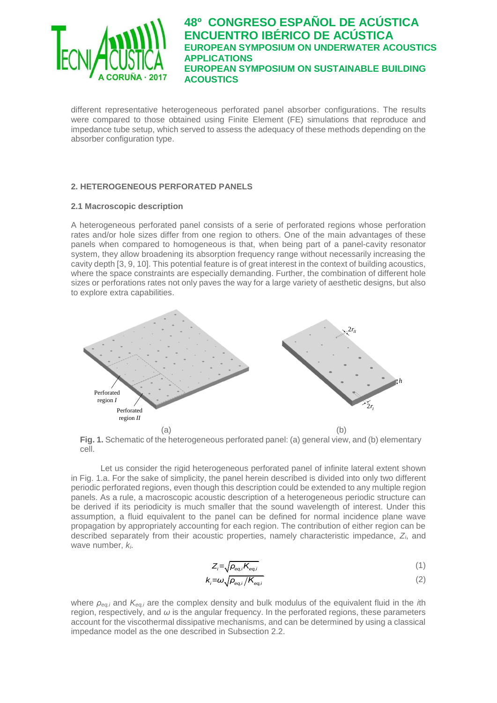

different representative heterogeneous perforated panel absorber configurations. The results were compared to those obtained using Finite Element (FE) simulations that reproduce and impedance tube setup, which served to assess the adequacy of these methods depending on the absorber configuration type.

## **2. HETEROGENEOUS PERFORATED PANELS**

### **2.1 Macroscopic description**

A heterogeneous perforated panel consists of a serie of perforated regions whose perforation rates and/or hole sizes differ from one region to others. One of the main advantages of these panels when compared to homogeneous is that, when being part of a panel-cavity resonator system, they allow broadening its absorption frequency range without necessarily increasing the cavity depth [3, 9, 10]. This potential feature is of great interest in the context of building acoustics, where the space constraints are especially demanding. Further, the combination of different hole sizes or perforations rates not only paves the way for a large variety of aesthetic designs, but also to explore extra capabilities.



**Fig. 1.** Schematic of the heterogeneous perforated panel: (a) general view, and (b) elementary cell.

Let us consider the rigid heterogeneous perforated panel of infinite lateral extent shown in Fig. 1.a. For the sake of simplicity, the panel herein described is divided into only two different periodic perforated regions, even though this description could be extended to any multiple region panels. As a rule, a macroscopic acoustic description of a heterogeneous periodic structure can be derived if its periodicity is much smaller that the sound wavelength of interest. Under this assumption, a fluid equivalent to the panel can be defined for normal incidence plane wave propagation by appropriately accounting for each region. The contribution of either region can be described separately from their acoustic properties, namely characteristic impedance, *Zi*, and wave number, *ki*.

$$
Z_i = \sqrt{\rho_{eq,i} K_{eq,i}} \tag{1}
$$

$$
k_{i} = \omega \sqrt{\rho_{eq,i}/K_{eq,i}}
$$
 (2)

where *ρeq,i* and *Keq,i* are the complex density and bulk modulus of the equivalent fluid in the *i*th region, respectively, and *ω* is the angular frequency. In the perforated regions, these parameters account for the viscothermal dissipative mechanisms, and can be determined by using a classical impedance model as the one described in Subsection 2.2.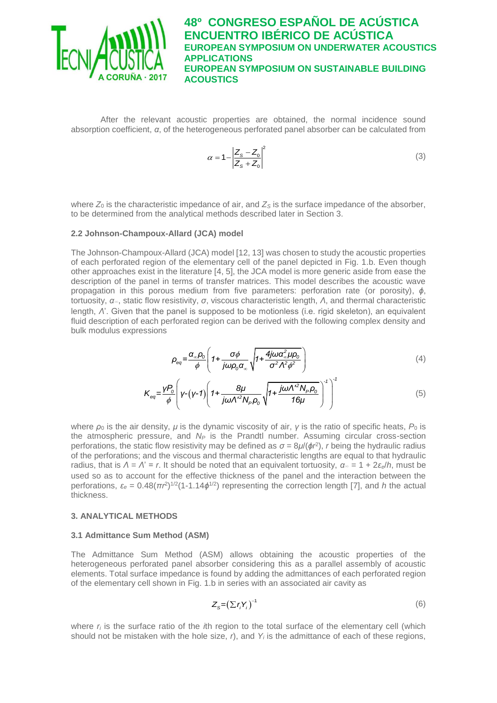

After the relevant acoustic properties are obtained, the normal incidence sound absorption coefficient, *α*, of the heterogeneous perforated panel absorber can be calculated from

$$
\alpha = 1 - \left| \frac{Z_s - Z_0}{Z_s + Z_0} \right|^2 \tag{3}
$$

where  $Z_0$  is the characteristic impedance of air, and  $Z_S$  is the surface impedance of the absorber, to be determined from the analytical methods described later in Section 3.

### **2.2 Johnson-Champoux-Allard (JCA) model**

The Johnson-Champoux-Allard (JCA) model [12, 13] was chosen to study the acoustic properties of each perforated region of the elementary cell of the panel depicted in Fig. 1.b. Even though other approaches exist in the literature [4, 5], the JCA model is more generic aside from ease the description of the panel in terms of transfer matrices. This model describes the acoustic wave propagation in this porous medium from five parameters: perforation rate (or porosity), *ϕ*, tortuosity, *α*∞, static flow resistivity, *σ*, viscous characteristic length, *Λ*, and thermal characteristic length, *Λ*'. Given that the panel is supposed to be motionless (i.e. rigid skeleton), an equivalent fluid description of each perforated region can be derived with the following complex density and bulk modulus expressions

$$
\rho_{eq} = \frac{\alpha_{\infty} \rho_0}{\phi} \left( 1 + \frac{\sigma \phi}{j \omega \rho_0 \alpha_{\infty}} \sqrt{1 + \frac{4j \omega \alpha_{\infty}^2 \mu \rho_0}{\sigma^2 \Lambda^2 \phi^2}} \right) \tag{4}
$$

$$
K_{eq} = \frac{\gamma P_o}{\phi} \left( Y - (Y - 1) \left( 1 + \frac{8\mu}{j\omega \Lambda'^2 N_P \rho_o} \sqrt{1 + \frac{j\omega \Lambda'^2 N_P \rho_o}{16\mu}} \right)^{-1} \right)^{-1}
$$
(5)

where *ρ*<sub>0</sub> is the air density, *μ* is the dynamic viscosity of air, *γ* is the ratio of specific heats, *P*<sub>0</sub> is the atmospheric pressure, and *N<sup>P</sup>* is the Prandtl number. Assuming circular cross-section perforations, the static flow resistivity may be defined as  $\sigma = 8\mu/(\phi r^2)$ , *r* being the hydraulic radius of the perforations; and the viscous and thermal characteristic lengths are equal to that hydraulic radius, that is *Λ* = *Λ*' = *r*. It should be noted that an equivalent tortuosity, *α*<sup>∞</sup> = 1 + 2*εe*/*h*, must be used so as to account for the effective thickness of the panel and the interaction between the perforations,  $\varepsilon_e = 0.48(\pi r^2)^{1/2}(1-1.14\phi^{1/2})$  representing the correction length [7], and *h* the actual thickness.

### **3. ANALYTICAL METHODS**

### **3.1 Admittance Sum Method (ASM)**

The Admittance Sum Method (ASM) allows obtaining the acoustic properties of the heterogeneous perforated panel absorber considering this as a parallel assembly of acoustic elements. Total surface impedance is found by adding the admittances of each perforated region of the elementary cell shown in Fig. 1.b in series with an associated air cavity as

$$
Z_{\rm s} = \left(\sum r_i Y_i\right)^{-1} \tag{6}
$$

where *r<sup>i</sup>* is the surface ratio of the *i*th region to the total surface of the elementary cell (which should not be mistaken with the hole size, *r*), and *Y<sup>i</sup>* is the admittance of each of these regions,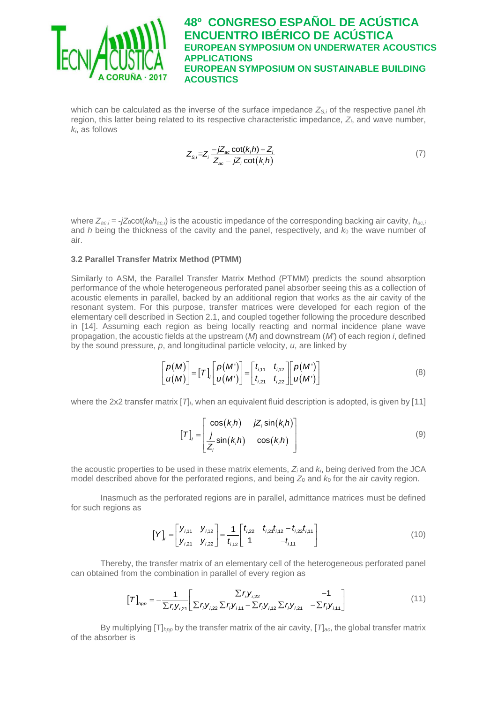

which can be calculated as the inverse of the surface impedance *ZS,i* of the respective panel *i*th region, this latter being related to its respective characteristic impedance, *Zi*, and wave number, *ki*, as follows

$$
Z_{s,i} = Z_i \frac{-jZ_{ac} \cot(k_i h) + Z_i}{Z_{ac} - jZ_i \cot(k_i h)}
$$
(7)

where *Zac,i* = -*jZ*0cot(*k*0*hac,i*) is the acoustic impedance of the corresponding backing air cavity, *hac,i* and *h* being the thickness of the cavity and the panel, respectively, and  $k_0$  the wave number of air.

#### **3.2 Parallel Transfer Matrix Method (PTMM)**

Similarly to ASM, the Parallel Transfer Matrix Method (PTMM) predicts the sound absorption performance of the whole heterogeneous perforated panel absorber seeing this as a collection of acoustic elements in parallel, backed by an additional region that works as the air cavity of the resonant system. For this purpose, transfer matrices were developed for each region of the elementary cell described in Section 2.1, and coupled together following the procedure described in [14]. Assuming each region as being locally reacting and normal incidence plane wave propagation, the acoustic fields at the upstream (*M*) and downstream (*M'*) of each region *i*, defined by the sound pressure, *p*, and longitudinal particle velocity, *u*, are linked by

$$
\begin{bmatrix} p(M) \\ u(M) \end{bmatrix} = [T]_i \begin{bmatrix} p(M') \\ u(M') \end{bmatrix} = \begin{bmatrix} t_{i,11} & t_{i,12} \\ t_{i,21} & t_{i,22} \end{bmatrix} \begin{bmatrix} p(M') \\ u(M') \end{bmatrix}
$$
(8)

where the 2x2 transfer matrix  $[T]$ *i*, when an equivalent fluid description is adopted, is given by [11]

$$
[T]_i = \begin{bmatrix} \cos(k_i h) & jZ_i \sin(k_i h) \\ \frac{j}{Z_i} \sin(k_i h) & \cos(k_i h) \end{bmatrix}
$$
 (9)

the acoustic properties to be used in these matrix elements, *Z<sup>i</sup>* and *ki*, being derived from the JCA model described above for the perforated regions, and being  $Z_0$  and  $k_0$  for the air cavity region.

Inasmuch as the perforated regions are in parallel, admittance matrices must be defined for such regions as

$$
\begin{bmatrix} Y \end{bmatrix}_{i} = \begin{bmatrix} Y_{i,11} & Y_{i,12} \\ Y_{i,21} & Y_{i,22} \end{bmatrix} = \frac{1}{t_{i,12}} \begin{bmatrix} t_{i,22} & t_{i,21}t_{i,12} - t_{i,22}t_{i,11} \\ 1 & -t_{i,11} \end{bmatrix}
$$
(10)

Thereby, the transfer matrix of an elementary cell of the heterogeneous perforated panel

can obtained from the combination in parallel of every region as  
\n
$$
\begin{bmatrix} T \end{bmatrix}_{\text{pop}} = -\frac{1}{\sum r_i y_{i,21}} \begin{bmatrix} \sum r_i y_{i,22} & -1 \\ \sum r_i y_{i,22} \sum r_i y_{i,11} - \sum r_i y_{i,22} \sum r_i y_{i,21} & -\sum r_i y_{i,11} \end{bmatrix}
$$
\n(11)

By multiplying [T]*hpp* by the transfer matrix of the air cavity, [*T*]*ac*, the global transfer matrix of the absorber is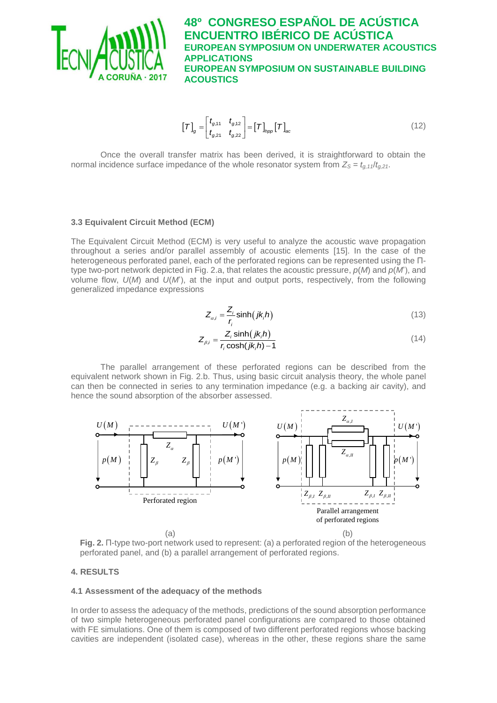

$$
\begin{bmatrix} T \end{bmatrix}_g = \begin{bmatrix} t_{g,11} & t_{g,12} \\ t_{g,21} & t_{g,22} \end{bmatrix} = \begin{bmatrix} T \end{bmatrix}_{\text{hop}} \begin{bmatrix} T \end{bmatrix}_{ac} \tag{12}
$$

Once the overall transfer matrix has been derived, it is straightforward to obtain the normal incidence surface impedance of the whole resonator system from  $Z_s = t_{q,11}/t_{q,21}$ .

#### **3.3 Equivalent Circuit Method (ECM)**

The Equivalent Circuit Method (ECM) is very useful to analyze the acoustic wave propagation throughout a series and/or parallel assembly of acoustic elements [15]. In the case of the heterogeneous perforated panel, each of the perforated regions can be represented using the Πtype two-port network depicted in Fig. 2.a, that relates the acoustic pressure, *p*(*M*) and *p*(*M*'), and volume flow, *U*(*M*) and *U*(*M*'), at the input and output ports, respectively, from the following generalized impedance expressions

$$
Z_{\alpha,i} = \frac{Z_i}{r_i} \sinh(jk_i h)
$$
 (13)

$$
Z_{\beta,i} = \frac{Z_i \sinh(jk_i h)}{r_i \cosh(jk_i h) - 1}
$$
\n(14)

The parallel arrangement of these perforated regions can be described from the equivalent network shown in Fig. 2.b. Thus, using basic circuit analysis theory, the whole panel can then be connected in series to any termination impedance (e.g. a backing air cavity), and hence the sound absorption of the absorber assessed.



**Fig. 2.** Π-type two-port network used to represent: (a) a perforated region of the heterogeneous perforated panel, and (b) a parallel arrangement of perforated regions.

### **4. RESULTS**

### **4.1 Assessment of the adequacy of the methods**

In order to assess the adequacy of the methods, predictions of the sound absorption performance of two simple heterogeneous perforated panel configurations are compared to those obtained with FE simulations. One of them is composed of two different perforated regions whose backing cavities are independent (isolated case), whereas in the other, these regions share the same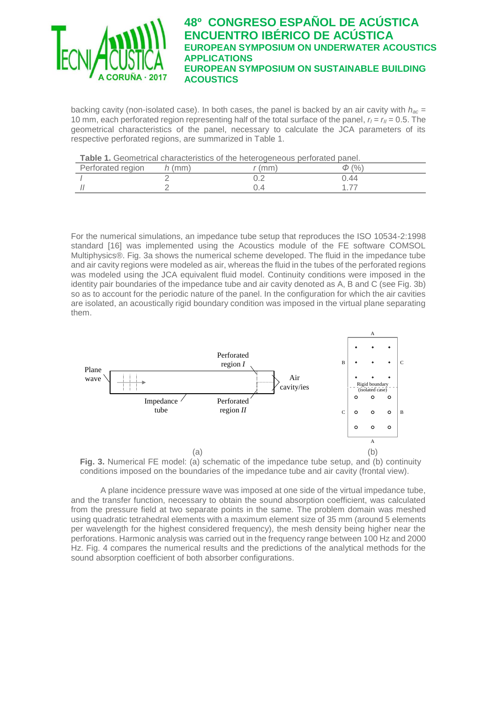

backing cavity (non-isolated case). In both cases, the panel is backed by an air cavity with *hac* = 10 mm, each perforated region representing half of the total surface of the panel,  $r_I = r_I = 0.5$ . The geometrical characteristics of the panel, necessary to calculate the JCA parameters of its respective perforated regions, are summarized in Table 1.

| Table 1. Geometrical characteristics of the heterogeneous perforated panel. |  |
|-----------------------------------------------------------------------------|--|
|-----------------------------------------------------------------------------|--|

|                   |      | <u>, and is a contrart and contrart and the state of the state and and and learned and learned</u> |     |  |
|-------------------|------|----------------------------------------------------------------------------------------------------|-----|--|
| Perforated region | (mm) | mm!                                                                                                | (%  |  |
|                   |      |                                                                                                    | .44 |  |
|                   |      |                                                                                                    |     |  |

For the numerical simulations, an impedance tube setup that reproduces the ISO 10534-2:1998 standard [16] was implemented using the Acoustics module of the FE software COMSOL Multiphysics®. Fig. 3a shows the numerical scheme developed. The fluid in the impedance tube and air cavity regions were modeled as air, whereas the fluid in the tubes of the perforated regions was modeled using the JCA equivalent fluid model. Continuity conditions were imposed in the identity pair boundaries of the impedance tube and air cavity denoted as A, B and C (see Fig. 3b) so as to account for the periodic nature of the panel. In the configuration for which the air cavities are isolated, an acoustically rigid boundary condition was imposed in the virtual plane separating them.



**Fig. 3.** Numerical FE model: (a) schematic of the impedance tube setup, and (b) continuity conditions imposed on the boundaries of the impedance tube and air cavity (frontal view).

A plane incidence pressure wave was imposed at one side of the virtual impedance tube, and the transfer function, necessary to obtain the sound absorption coefficient, was calculated from the pressure field at two separate points in the same. The problem domain was meshed using quadratic tetrahedral elements with a maximum element size of 35 mm (around 5 elements per wavelength for the highest considered frequency), the mesh density being higher near the perforations. Harmonic analysis was carried out in the frequency range between 100 Hz and 2000 Hz. Fig. 4 compares the numerical results and the predictions of the analytical methods for the sound absorption coefficient of both absorber configurations.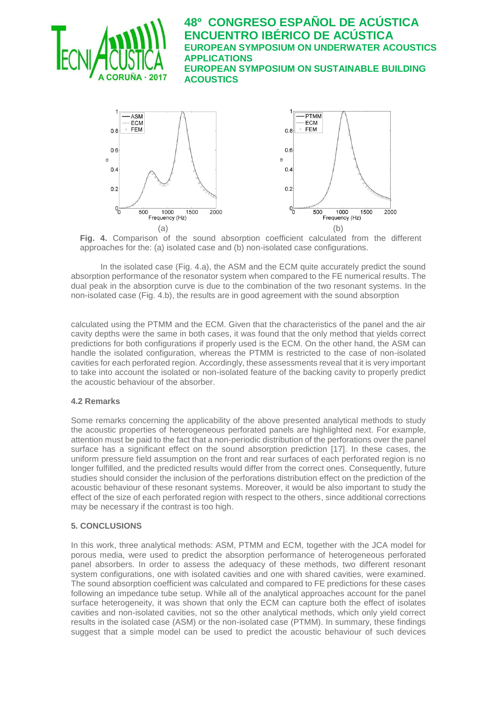



**Fig. 4.** Comparison of the sound absorption coefficient calculated from the different approaches for the: (a) isolated case and (b) non-isolated case configurations.

In the isolated case (Fig. 4.a), the ASM and the ECM quite accurately predict the sound absorption performance of the resonator system when compared to the FE numerical results. The dual peak in the absorption curve is due to the combination of the two resonant systems. In the non-isolated case (Fig. 4.b), the results are in good agreement with the sound absorption

calculated using the PTMM and the ECM. Given that the characteristics of the panel and the air cavity depths were the same in both cases, it was found that the only method that yields correct predictions for both configurations if properly used is the ECM. On the other hand, the ASM can handle the isolated configuration, whereas the PTMM is restricted to the case of non-isolated cavities for each perforated region. Accordingly, these assessments reveal that it is very important to take into account the isolated or non-isolated feature of the backing cavity to properly predict the acoustic behaviour of the absorber.

## **4.2 Remarks**

Some remarks concerning the applicability of the above presented analytical methods to study the acoustic properties of heterogeneous perforated panels are highlighted next. For example, attention must be paid to the fact that a non-periodic distribution of the perforations over the panel surface has a significant effect on the sound absorption prediction [17]. In these cases, the uniform pressure field assumption on the front and rear surfaces of each perforated region is no longer fulfilled, and the predicted results would differ from the correct ones. Consequently, future studies should consider the inclusion of the perforations distribution effect on the prediction of the acoustic behaviour of these resonant systems. Moreover, it would be also important to study the effect of the size of each perforated region with respect to the others, since additional corrections may be necessary if the contrast is too high.

## **5. CONCLUSIONS**

In this work, three analytical methods: ASM, PTMM and ECM, together with the JCA model for porous media, were used to predict the absorption performance of heterogeneous perforated panel absorbers. In order to assess the adequacy of these methods, two different resonant system configurations, one with isolated cavities and one with shared cavities, were examined. The sound absorption coefficient was calculated and compared to FE predictions for these cases following an impedance tube setup. While all of the analytical approaches account for the panel surface heterogeneity, it was shown that only the ECM can capture both the effect of isolates cavities and non-isolated cavities, not so the other analytical methods, which only yield correct results in the isolated case (ASM) or the non-isolated case (PTMM). In summary, these findings suggest that a simple model can be used to predict the acoustic behaviour of such devices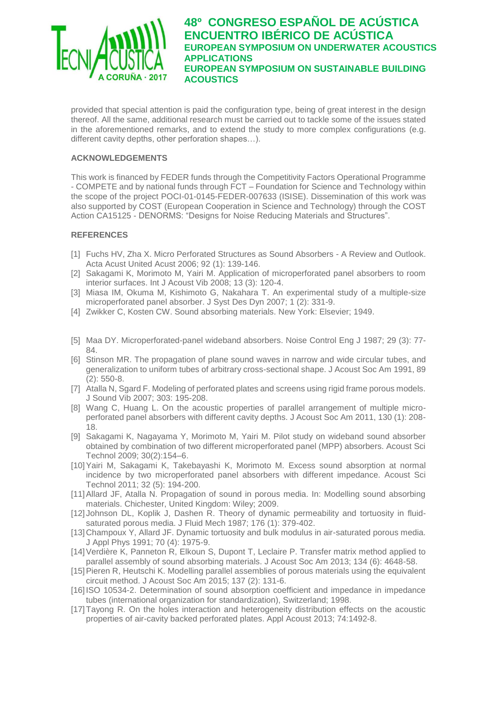

provided that special attention is paid the configuration type, being of great interest in the design thereof. All the same, additional research must be carried out to tackle some of the issues stated in the aforementioned remarks, and to extend the study to more complex configurations (e.g. different cavity depths, other perforation shapes…).

## **ACKNOWLEDGEMENTS**

This work is financed by FEDER funds through the Competitivity Factors Operational Programme - COMPETE and by national funds through FCT – Foundation for Science and Technology within the scope of the project POCI-01-0145-FEDER-007633 (ISISE). Dissemination of this work was also supported by COST (European Cooperation in Science and Technology) through the COST Action CA15125 - DENORMS: "Designs for Noise Reducing Materials and Structures".

## **REFERENCES**

- [1] Fuchs HV, Zha X. Micro Perforated Structures as Sound Absorbers A Review and Outlook. Acta Acust United Acust 2006; 92 (1): 139-146.
- [2] Sakagami K, Morimoto M, Yairi M. Application of microperforated panel absorbers to room interior surfaces. Int J Acoust Vib 2008; 13 (3): 120-4.
- [3] Miasa IM, Okuma M, Kishimoto G, Nakahara T. An experimental study of a multiple-size microperforated panel absorber. J Syst Des Dyn 2007; 1 (2): 331-9.
- [4] Zwikker C, Kosten CW. Sound absorbing materials. New York: Elsevier; 1949.
- [5] Maa DY. Microperforated-panel wideband absorbers. Noise Control Eng J 1987; 29 (3): 77- 84.
- [6] Stinson MR. The propagation of plane sound waves in narrow and wide circular tubes, and generalization to uniform tubes of arbitrary cross-sectional shape. J Acoust Soc Am 1991, 89 (2): 550-8.
- [7] Atalla N, Sgard F. Modeling of perforated plates and screens using rigid frame porous models. J Sound Vib 2007; 303: 195-208.
- [8] Wang C, Huang L, On the acoustic properties of parallel arrangement of multiple microperforated panel absorbers with different cavity depths. J Acoust Soc Am 2011, 130 (1): 208- 18.
- [9] Sakagami K, Nagayama Y, Morimoto M, Yairi M. Pilot study on wideband sound absorber obtained by combination of two different microperforated panel (MPP) absorbers. Acoust Sci Technol 2009; 30(2):154–6.
- [10]Yairi M, Sakagami K, Takebayashi K, Morimoto M. Excess sound absorption at normal incidence by two microperforated panel absorbers with different impedance. Acoust Sci Technol 2011; 32 (5): 194-200.
- [11]Allard JF, Atalla N. Propagation of sound in porous media. In: Modelling sound absorbing materials. Chichester, United Kingdom: Wiley; 2009.
- [12] Johnson DL, Koplik J, Dashen R. Theory of dynamic permeability and tortuosity in fluidsaturated porous media. J Fluid Mech 1987; 176 (1): 379-402.
- [13]Champoux Y, Allard JF. Dynamic tortuosity and bulk modulus in air-saturated porous media. J Appl Phys 1991; 70 (4): 1975-9.
- [14]Verdière K, Panneton R, Elkoun S, Dupont T, Leclaire P. Transfer matrix method applied to parallel assembly of sound absorbing materials. J Acoust Soc Am 2013; 134 (6): 4648-58.
- [15] Pieren R, Heutschi K. Modelling parallel assemblies of porous materials using the equivalent circuit method. J Acoust Soc Am 2015; 137 (2): 131-6.
- [16] ISO 10534-2. Determination of sound absorption coefficient and impedance in impedance tubes (international organization for standardization), Switzerland; 1998.
- [17]Tayong R. On the holes interaction and heterogeneity distribution effects on the acoustic properties of air-cavity backed perforated plates. Appl Acoust 2013; 74:1492-8.